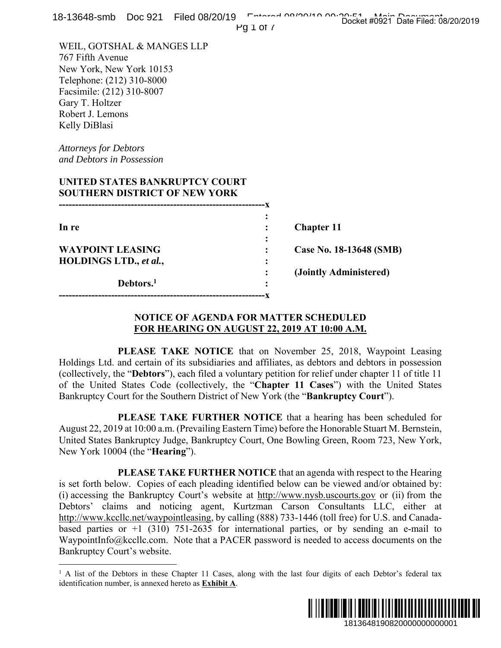| 18-13648-smb    Doc 921    Filed 08/20/19                                                                                                                                                                                                                                                                                                                                                                                                                                                                                                                                                                       | Entered 00/00/10 00:00:51 Main Decument<br>$PQ 1$ of $\prime$         |  |
|-----------------------------------------------------------------------------------------------------------------------------------------------------------------------------------------------------------------------------------------------------------------------------------------------------------------------------------------------------------------------------------------------------------------------------------------------------------------------------------------------------------------------------------------------------------------------------------------------------------------|-----------------------------------------------------------------------|--|
| WEIL, GOTSHAL & MANGES LLP<br>767 Fifth Avenue<br>New York, New York 10153<br>Telephone: (212) 310-8000<br>Facsimile: (212) 310-8007<br>Gary T. Holtzer<br>Robert J. Lemons<br>Kelly DiBlasi                                                                                                                                                                                                                                                                                                                                                                                                                    |                                                                       |  |
| <b>Attorneys for Debtors</b><br>and Debtors in Possession                                                                                                                                                                                                                                                                                                                                                                                                                                                                                                                                                       |                                                                       |  |
| UNITED STATES BANKRUPTCY COURT<br><b>SOUTHERN DISTRICT OF NEW YORK</b>                                                                                                                                                                                                                                                                                                                                                                                                                                                                                                                                          |                                                                       |  |
| In re                                                                                                                                                                                                                                                                                                                                                                                                                                                                                                                                                                                                           | <b>Chapter 11</b>                                                     |  |
| <b>WAYPOINT LEASING</b><br>HOLDINGS LTD., et al.,                                                                                                                                                                                                                                                                                                                                                                                                                                                                                                                                                               | Case No. 18-13648 (SMB)                                               |  |
| Debtors. <sup>1</sup>                                                                                                                                                                                                                                                                                                                                                                                                                                                                                                                                                                                           | (Jointly Administered)                                                |  |
| <b>NOTICE OF AGENDA FOR MATTER SCHEDULED</b><br><u>FOR HEARING ON AUGUST 22, 2019 AT 10:00 A.M.</u>                                                                                                                                                                                                                                                                                                                                                                                                                                                                                                             |                                                                       |  |
| Holdings Ltd. and certain of its subsidiaries and affiliates, as debtors and debtors in possession<br>(collectively, the "Debtors"), each filed a voluntary petition for relief under chapter 11 of title 11<br>of the United States Code (collectively, the "Chapter 11 Cases") with the United States<br>Bankruptcy Court for the Southern District of New York (the "Bankruptcy Court").                                                                                                                                                                                                                     | PLEASE TAKE NOTICE that on November 25, 2018, Waypoint Leasing        |  |
| August 22, 2019 at 10:00 a.m. (Prevailing Eastern Time) before the Honorable Stuart M. Bernstein,<br>United States Bankruptcy Judge, Bankruptcy Court, One Bowling Green, Room 723, New York,<br>New York 10004 (the " <b>Hearing</b> ").                                                                                                                                                                                                                                                                                                                                                                       | PLEASE TAKE FURTHER NOTICE that a hearing has been scheduled for      |  |
| is set forth below. Copies of each pleading identified below can be viewed and/or obtained by:<br>(i) accessing the Bankruptcy Court's website at http://www.nysb.uscourts.gov or (ii) from the<br>Debtors' claims and noticing agent, Kurtzman Carson Consultants LLC, either at<br>http://www.kccllc.net/waypointleasing, by calling (888) 733-1446 (toll free) for U.S. and Canada-<br>based parties or $+1$ (310) 751-2635 for international parties, or by sending an e-mail to<br>WaypointInfo@kccllc.com. Note that a PACER password is needed to access documents on the<br>Bankruptcy Court's website. | PLEASE TAKE FURTHER NOTICE that an agenda with respect to the Hearing |  |
| <sup>1</sup> A list of the Debtors in these Chapter 11 Cases, along with the last four digits of each Debtor's federal tax<br>identification number, is annexed hereto as <b>Exhibit A</b> .                                                                                                                                                                                                                                                                                                                                                                                                                    |                                                                       |  |
|                                                                                                                                                                                                                                                                                                                                                                                                                                                                                                                                                                                                                 | 1813648190820000000000001                                             |  |
|                                                                                                                                                                                                                                                                                                                                                                                                                                                                                                                                                                                                                 |                                                                       |  |

#### **NOTICE OF AGENDA FOR MATTER SCHEDULED FOR HEARING ON AUGUST 22, 2019 AT 10:00 A.M.**



<sup>&</sup>lt;sup>1</sup> A list of the Debtors in these Chapter 11 Cases, along with the last four digits of each Debtor's federal tax identification number, is annexed hereto as **Exhibit A**.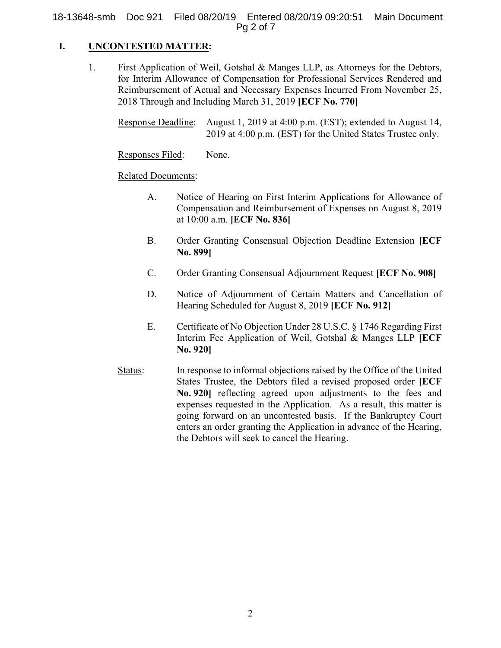18-13648-smb Doc 921 Filed 08/20/19 Entered 08/20/19 09:20:51 Main Document Pg 2 of 7

#### **I. UNCONTESTED MATTER:**

1. First Application of Weil, Gotshal & Manges LLP, as Attorneys for the Debtors, for Interim Allowance of Compensation for Professional Services Rendered and Reimbursement of Actual and Necessary Expenses Incurred From November 25, 2018 Through and Including March 31, 2019 **[ECF No. 770]**

Response Deadline: August 1, 2019 at 4:00 p.m. (EST); extended to August 14, 2019 at 4:00 p.m. (EST) for the United States Trustee only.

Responses Filed: None.

Related Documents:

- A. Notice of Hearing on First Interim Applications for Allowance of Compensation and Reimbursement of Expenses on August 8, 2019 at 10:00 a.m. **[ECF No. 836]**
- B. Order Granting Consensual Objection Deadline Extension **[ECF No. 899]**
- C. Order Granting Consensual Adjournment Request **[ECF No. 908]**
- D. Notice of Adjournment of Certain Matters and Cancellation of Hearing Scheduled for August 8, 2019 **[ECF No. 912]**
- E. Certificate of No Objection Under 28 U.S.C. § 1746 Regarding First Interim Fee Application of Weil, Gotshal & Manges LLP **[ECF No. 920]**
- Status: In response to informal objections raised by the Office of the United States Trustee, the Debtors filed a revised proposed order **[ECF No. 920]** reflecting agreed upon adjustments to the fees and expenses requested in the Application. As a result, this matter is going forward on an uncontested basis. If the Bankruptcy Court enters an order granting the Application in advance of the Hearing, the Debtors will seek to cancel the Hearing.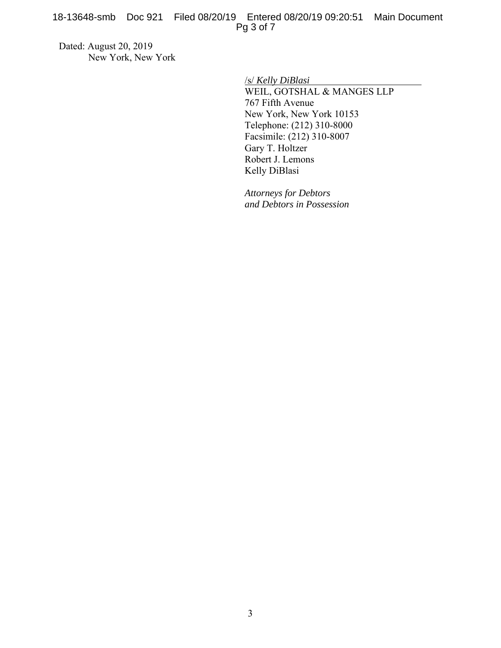Dated: August 20, 2019 New York, New York

/s/ *Kelly DiBlasi*

WEIL, GOTSHAL & MANGES LLP 767 Fifth Avenue New York, New York 10153 Telephone: (212) 310-8000 Facsimile: (212) 310-8007 Gary T. Holtzer Robert J. Lemons Kelly DiBlasi

*Attorneys for Debtors and Debtors in Possession*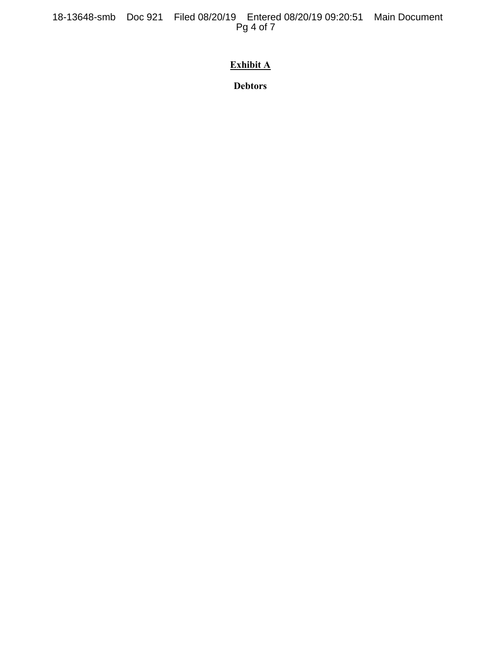18-13648-smb Doc 921 Filed 08/20/19 Entered 08/20/19 09:20:51 Main Document Pg 4 of 7

# **Exhibit A**

**Debtors**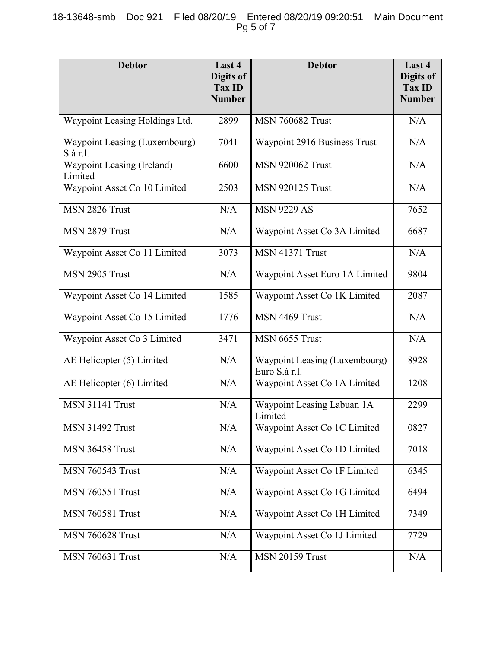## 18-13648-smb Doc 921 Filed 08/20/19 Entered 08/20/19 09:20:51 Main Document Pg 5 of 7

| <b>Debtor</b>                                | Last 4<br>Digits of<br><b>Tax ID</b><br><b>Number</b> | <b>Debtor</b>                                  | Last 4<br>Digits of<br><b>Tax ID</b><br><b>Number</b> |
|----------------------------------------------|-------------------------------------------------------|------------------------------------------------|-------------------------------------------------------|
| Waypoint Leasing Holdings Ltd.               | 2899                                                  | <b>MSN 760682 Trust</b>                        | N/A                                                   |
| Waypoint Leasing (Luxembourg)<br>S.à r.l.    | 7041                                                  | Waypoint 2916 Business Trust                   | N/A                                                   |
| <b>Waypoint Leasing (Ireland)</b><br>Limited | 6600                                                  | <b>MSN 920062 Trust</b>                        | N/A                                                   |
| Waypoint Asset Co 10 Limited                 | 2503                                                  | <b>MSN 920125 Trust</b>                        | N/A                                                   |
| MSN 2826 Trust                               | N/A                                                   | <b>MSN 9229 AS</b>                             | 7652                                                  |
| MSN 2879 Trust                               | N/A                                                   | Waypoint Asset Co 3A Limited                   | 6687                                                  |
| Waypoint Asset Co 11 Limited                 | 3073                                                  | <b>MSN 41371 Trust</b>                         | N/A                                                   |
| MSN 2905 Trust                               | N/A                                                   | Waypoint Asset Euro 1A Limited                 | 9804                                                  |
| Waypoint Asset Co 14 Limited                 | 1585                                                  | Waypoint Asset Co 1K Limited                   | 2087                                                  |
| Waypoint Asset Co 15 Limited                 | 1776                                                  | MSN 4469 Trust                                 | N/A                                                   |
| Waypoint Asset Co 3 Limited                  | 3471                                                  | MSN 6655 Trust                                 | N/A                                                   |
| AE Helicopter (5) Limited                    | N/A                                                   | Waypoint Leasing (Luxembourg)<br>Euro S.à r.l. | 8928                                                  |
| AE Helicopter (6) Limited                    | N/A                                                   | Waypoint Asset Co 1A Limited                   | 1208                                                  |
| <b>MSN 31141 Trust</b>                       | N/A                                                   | Waypoint Leasing Labuan 1A<br>Limited          | 2299                                                  |
| <b>MSN 31492 Trust</b>                       | N/A                                                   | Waypoint Asset Co 1C Limited                   | 0827                                                  |
| <b>MSN 36458 Trust</b>                       | N/A                                                   | Waypoint Asset Co 1D Limited                   | 7018                                                  |
| <b>MSN 760543 Trust</b>                      | N/A                                                   | Waypoint Asset Co 1F Limited                   | 6345                                                  |
| <b>MSN 760551 Trust</b>                      | N/A                                                   | Waypoint Asset Co 1G Limited                   | 6494                                                  |
| <b>MSN 760581 Trust</b>                      | N/A                                                   | Waypoint Asset Co 1H Limited                   | 7349                                                  |
| <b>MSN 760628 Trust</b>                      | N/A                                                   | Waypoint Asset Co 1J Limited                   | 7729                                                  |
| <b>MSN 760631 Trust</b>                      | N/A                                                   | <b>MSN 20159 Trust</b>                         | N/A                                                   |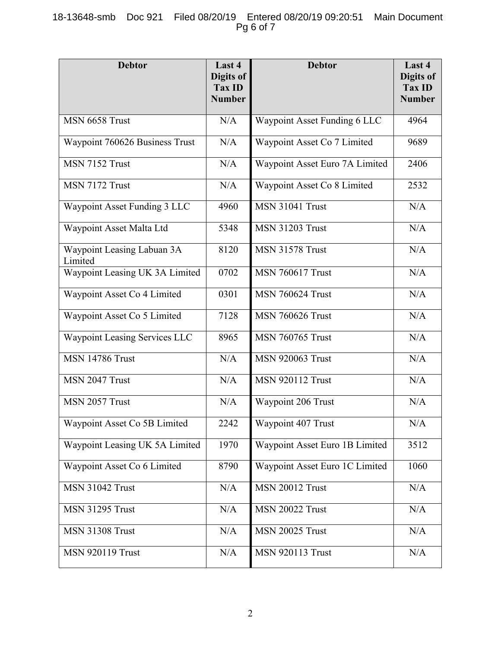## 18-13648-smb Doc 921 Filed 08/20/19 Entered 08/20/19 09:20:51 Main Document Pg 6 of 7

| <b>Debtor</b>                         | Last 4<br>Digits of<br>Tax ID<br><b>Number</b> | <b>Debtor</b>                  | Last 4<br>Digits of<br><b>Tax ID</b><br><b>Number</b> |
|---------------------------------------|------------------------------------------------|--------------------------------|-------------------------------------------------------|
| MSN 6658 Trust                        | N/A                                            | Waypoint Asset Funding 6 LLC   | 4964                                                  |
| Waypoint 760626 Business Trust        | N/A                                            | Waypoint Asset Co 7 Limited    | 9689                                                  |
| MSN 7152 Trust                        | N/A                                            | Waypoint Asset Euro 7A Limited | 2406                                                  |
| MSN 7172 Trust                        | N/A                                            | Waypoint Asset Co 8 Limited    | 2532                                                  |
| Waypoint Asset Funding 3 LLC          | 4960                                           | <b>MSN 31041 Trust</b>         | N/A                                                   |
| Waypoint Asset Malta Ltd              | 5348                                           | <b>MSN 31203 Trust</b>         | N/A                                                   |
| Waypoint Leasing Labuan 3A<br>Limited | 8120                                           | <b>MSN 31578 Trust</b>         | N/A                                                   |
| Waypoint Leasing UK 3A Limited        | 0702                                           | <b>MSN 760617 Trust</b>        | N/A                                                   |
| Waypoint Asset Co 4 Limited           | 0301                                           | <b>MSN 760624 Trust</b>        | N/A                                                   |
| Waypoint Asset Co 5 Limited           | 7128                                           | <b>MSN 760626 Trust</b>        | N/A                                                   |
| Waypoint Leasing Services LLC         | 8965                                           | <b>MSN 760765 Trust</b>        | N/A                                                   |
| <b>MSN 14786 Trust</b>                | N/A                                            | <b>MSN 920063 Trust</b>        | N/A                                                   |
| MSN 2047 Trust                        | N/A                                            | <b>MSN 920112 Trust</b>        | N/A                                                   |
| MSN 2057 Trust                        | N/A                                            | Waypoint 206 Trust             | N/A                                                   |
| Waypoint Asset Co 5B Limited          | 2242                                           | Waypoint 407 Trust             | N/A                                                   |
| Waypoint Leasing UK 5A Limited        | 1970                                           | Waypoint Asset Euro 1B Limited | 3512                                                  |
| Waypoint Asset Co 6 Limited           | 8790                                           | Waypoint Asset Euro 1C Limited | 1060                                                  |
| <b>MSN 31042 Trust</b>                | N/A                                            | <b>MSN 20012 Trust</b>         | N/A                                                   |
| <b>MSN 31295 Trust</b>                | N/A                                            | <b>MSN 20022 Trust</b>         | N/A                                                   |
| <b>MSN 31308 Trust</b>                | N/A                                            | <b>MSN 20025 Trust</b>         | N/A                                                   |
| <b>MSN 920119 Trust</b>               | N/A                                            | <b>MSN 920113 Trust</b>        | $\rm N/A$                                             |